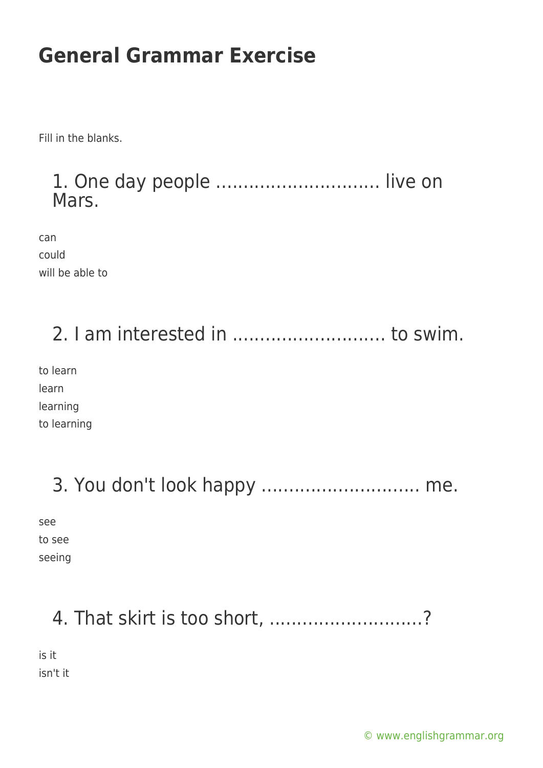Fill in the blanks.

#### 1. One day people .............................. live on Mars.

can could will be able to

### 2. I am interested in ............................ to swim.

to learn learn learning to learning

### 3. You don't look happy ............................. me.

see to see seeing

# 4. That skirt is too short, ..........................?

is it isn't it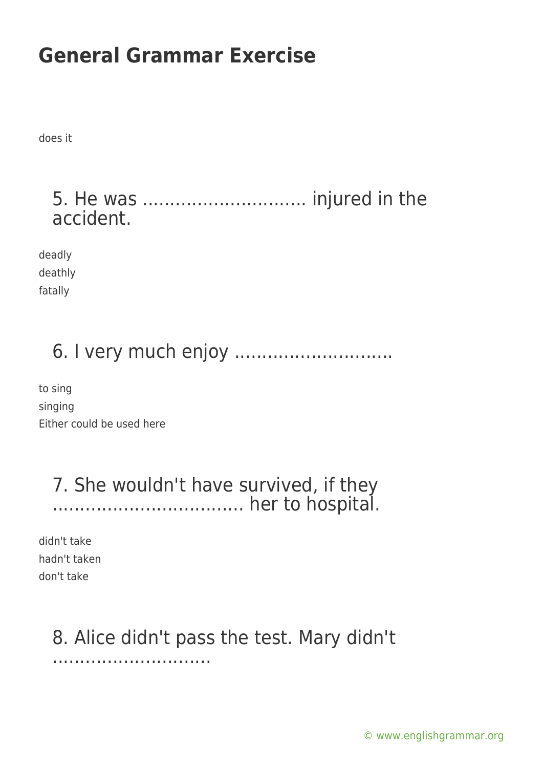does it

#### 5. He was .............................. injured in the accident.

deadly deathly fatally

# 6. I very much enjoy .............................

to sing singing Either could be used here

#### 7. She wouldn't have survived, if they ................................... her to hospital.

didn't take hadn't taken don't take

# 8. Alice didn't pass the test. Mary didn't

.............................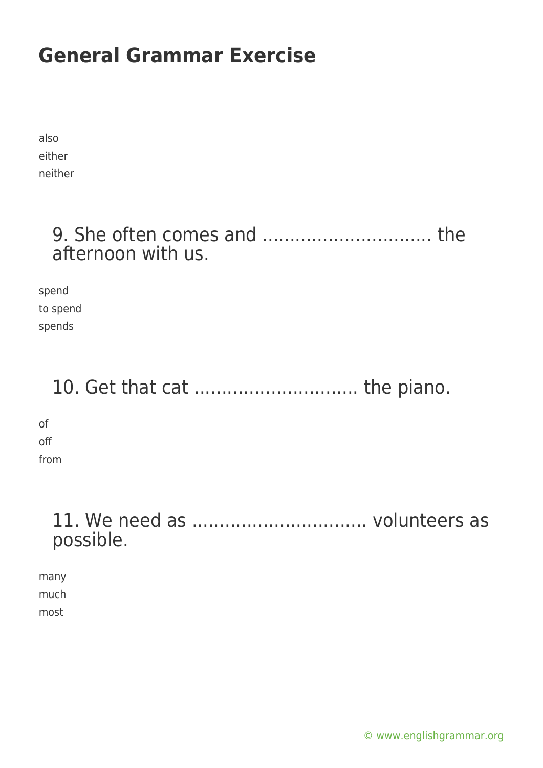also either neither

#### 9. She often comes and ............................... the afternoon with us.

spend to spend spends

### 10. Get that cat .............................. the piano.

of off from

### 11. We need as ................................ volunteers as possible.

many much most